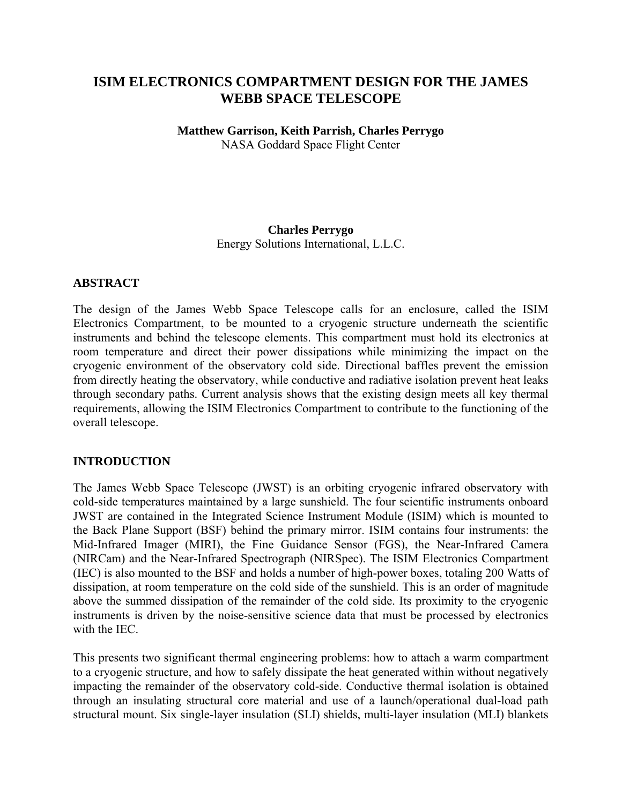## **ISIM ELECTRONICS COMPARTMENT DESIGN FOR THE JAMES WEBB SPACE TELESCOPE**

# **Matthew Garrison, Keith Parrish, Charles Perrygo**

NASA Goddard Space Flight Center

## **Charles Perrygo**

Energy Solutions International, L.L.C.

## **ABSTRACT**

The design of the James Webb Space Telescope calls for an enclosure, called the ISIM Electronics Compartment, to be mounted to a cryogenic structure underneath the scientific instruments and behind the telescope elements. This compartment must hold its electronics at room temperature and direct their power dissipations while minimizing the impact on the cryogenic environment of the observatory cold side. Directional baffles prevent the emission from directly heating the observatory, while conductive and radiative isolation prevent heat leaks through secondary paths. Current analysis shows that the existing design meets all key thermal requirements, allowing the ISIM Electronics Compartment to contribute to the functioning of the overall telescope.

## **INTRODUCTION**

The James Webb Space Telescope (JWST) is an orbiting cryogenic infrared observatory with cold-side temperatures maintained by a large sunshield. The four scientific instruments onboard JWST are contained in the Integrated Science Instrument Module (ISIM) which is mounted to the Back Plane Support (BSF) behind the primary mirror. ISIM contains four instruments: the Mid-Infrared Imager (MIRI), the Fine Guidance Sensor (FGS), the Near-Infrared Camera (NIRCam) and the Near-Infrared Spectrograph (NIRSpec). The ISIM Electronics Compartment (IEC) is also mounted to the BSF and holds a number of high-power boxes, totaling 200 Watts of dissipation, at room temperature on the cold side of the sunshield. This is an order of magnitude above the summed dissipation of the remainder of the cold side. Its proximity to the cryogenic instruments is driven by the noise-sensitive science data that must be processed by electronics with the IEC.

This presents two significant thermal engineering problems: how to attach a warm compartment to a cryogenic structure, and how to safely dissipate the heat generated within without negatively impacting the remainder of the observatory cold-side. Conductive thermal isolation is obtained through an insulating structural core material and use of a launch/operational dual-load path structural mount. Six single-layer insulation (SLI) shields, multi-layer insulation (MLI) blankets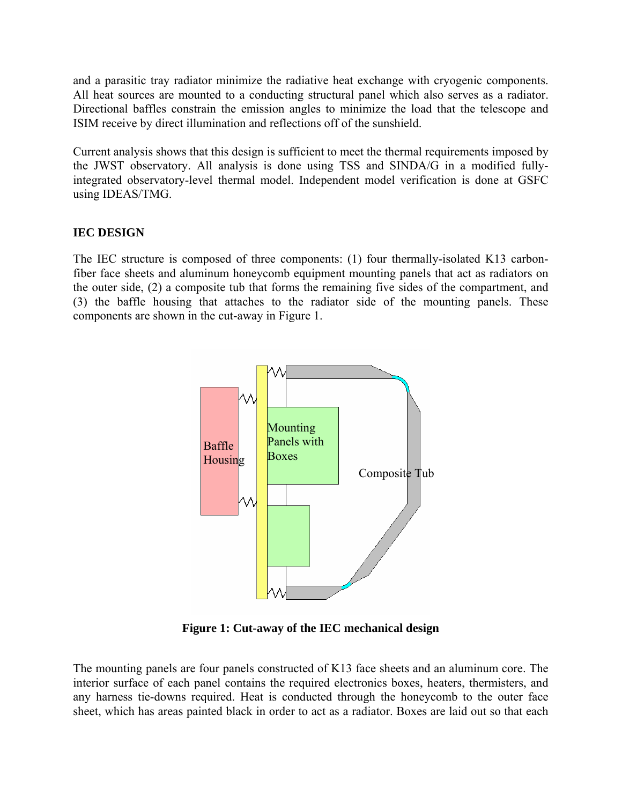and a parasitic tray radiator minimize the radiative heat exchange with cryogenic components. All heat sources are mounted to a conducting structural panel which also serves as a radiator. Directional baffles constrain the emission angles to minimize the load that the telescope and ISIM receive by direct illumination and reflections off of the sunshield.

Current analysis shows that this design is sufficient to meet the thermal requirements imposed by the JWST observatory. All analysis is done using TSS and SINDA/G in a modified fullyintegrated observatory-level thermal model. Independent model verification is done at GSFC using IDEAS/TMG.

## **IEC DESIGN**

The IEC structure is composed of three components: (1) four thermally-isolated K13 carbonfiber face sheets and aluminum honeycomb equipment mounting panels that act as radiators on the outer side, (2) a composite tub that forms the remaining five sides of the compartment, and (3) the baffle housing that attaches to the radiator side of the mounting panels. These components are shown in the cut-away in Figure 1.



**Figure 1: Cut-away of the IEC mechanical design** 

The mounting panels are four panels constructed of K13 face sheets and an aluminum core. The interior surface of each panel contains the required electronics boxes, heaters, thermisters, and any harness tie-downs required. Heat is conducted through the honeycomb to the outer face sheet, which has areas painted black in order to act as a radiator. Boxes are laid out so that each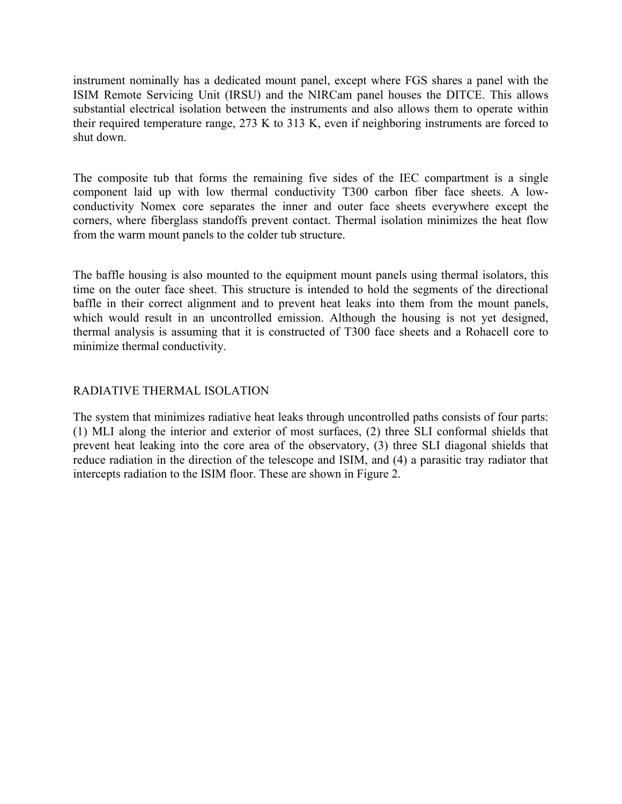instrument nominally has a dedicated mount panel, except where FGS shares a panel with the ISIM Remote Servicing Unit (IRSU) and the NIRCam panel houses the DITCE. This allows substantial electrical isolation between the instruments and also allows them to operate within their required temperature range, 273 K to 313 K, even if neighboring instruments are forced to shut down.

The composite tub that forms the remaining five sides of the IEC compartment is a single component laid up with low thermal conductivity T300 carbon fiber face sheets. A lowconductivity Nomex core separates the inner and outer face sheets everywhere except the corners, where fiberglass standoffs prevent contact. Thermal isolation minimizes the heat flow from the warm mount panels to the colder tub structure.

The baffle housing is also mounted to the equipment mount panels using thermal isolators, this time on the outer face sheet. This structure is intended to hold the segments of the directional baffle in their correct alignment and to prevent heat leaks into them from the mount panels, which would result in an uncontrolled emission. Although the housing is not yet designed, thermal analysis is assuming that it is constructed of T300 face sheets and a Rohacell core to minimize thermal conductivity.

## RADIATIVE THERMAL ISOLATION

The system that minimizes radiative heat leaks through uncontrolled paths consists of four parts: (1) MLI along the interior and exterior of most surfaces, (2) three SLI conformal shields that prevent heat leaking into the core area of the observatory, (3) three SLI diagonal shields that reduce radiation in the direction of the telescope and ISIM, and (4) a parasitic tray radiator that intercepts radiation to the ISIM floor. These are shown in Figure 2.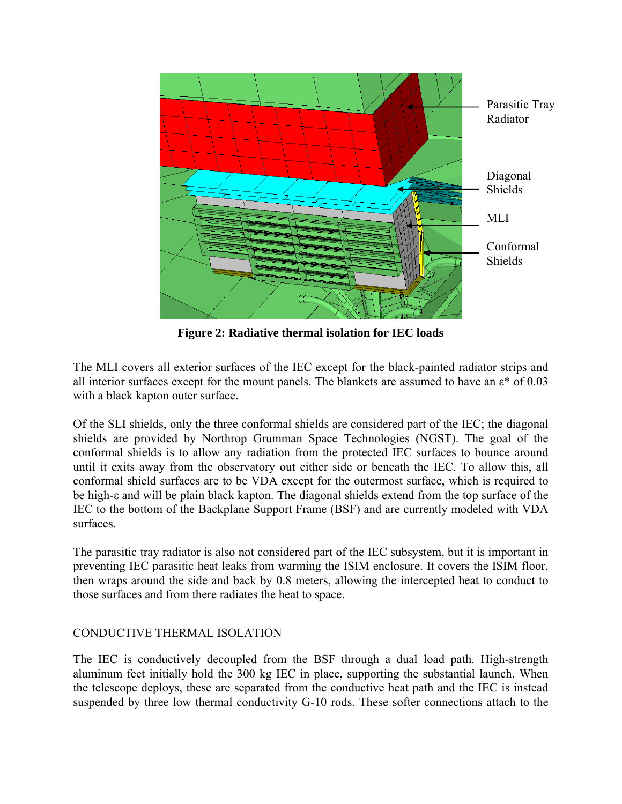

**Figure 2: Radiative thermal isolation for IEC loads** 

The MLI covers all exterior surfaces of the IEC except for the black-painted radiator strips and all interior surfaces except for the mount panels. The blankets are assumed to have an ε\* of 0.03 with a black kapton outer surface.

Of the SLI shields, only the three conformal shields are considered part of the IEC; the diagonal shields are provided by Northrop Grumman Space Technologies (NGST). The goal of the conformal shields is to allow any radiation from the protected IEC surfaces to bounce around until it exits away from the observatory out either side or beneath the IEC. To allow this, all conformal shield surfaces are to be VDA except for the outermost surface, which is required to be high-ε and will be plain black kapton. The diagonal shields extend from the top surface of the IEC to the bottom of the Backplane Support Frame (BSF) and are currently modeled with VDA surfaces.

The parasitic tray radiator is also not considered part of the IEC subsystem, but it is important in preventing IEC parasitic heat leaks from warming the ISIM enclosure. It covers the ISIM floor, then wraps around the side and back by 0.8 meters, allowing the intercepted heat to conduct to those surfaces and from there radiates the heat to space.

## CONDUCTIVE THERMAL ISOLATION

The IEC is conductively decoupled from the BSF through a dual load path. High-strength aluminum feet initially hold the 300 kg IEC in place, supporting the substantial launch. When the telescope deploys, these are separated from the conductive heat path and the IEC is instead suspended by three low thermal conductivity G-10 rods. These softer connections attach to the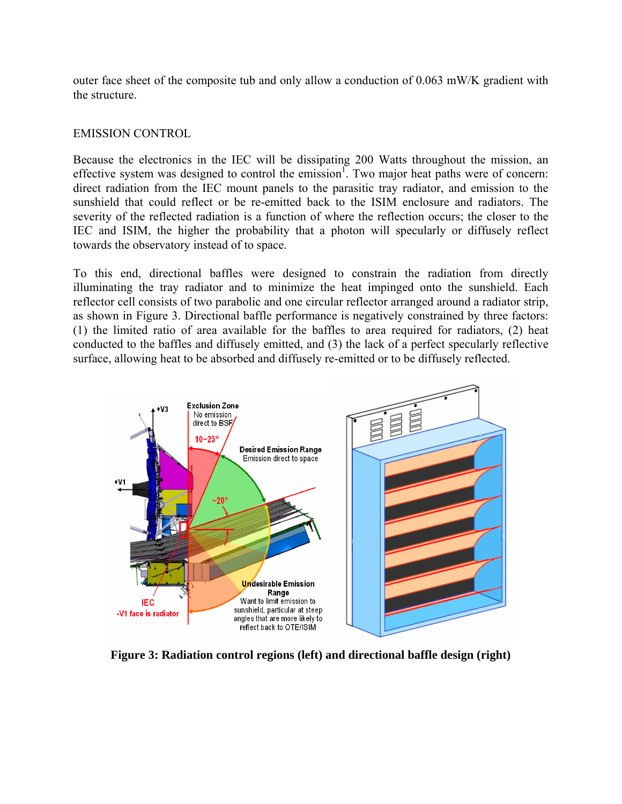outer face sheet of the composite tub and only allow a conduction of 0.063 mW/K gradient with the structure.

#### EMISSION CONTROL

Because the electronics in the IEC will be dissipating 200 Watts throughout the mission, an effective system was designed to control the emission<sup>1</sup>. Two major heat paths were of concern: direct radiation from the IEC mount panels to the parasitic tray radiator, and emission to the sunshield that could reflect or be re-emitted back to the ISIM enclosure and radiators. The severity of the reflected radiation is a function of where the reflection occurs; the closer to the IEC and ISIM, the higher the probability that a photon will specularly or diffusely reflect towards the observatory instead of to space.

To this end, directional baffles were designed to constrain the radiation from directly illuminating the tray radiator and to minimize the heat impinged onto the sunshield. Each reflector cell consists of two parabolic and one circular reflector arranged around a radiator strip, as shown in Figure 3. Directional baffle performance is negatively constrained by three factors: (1) the limited ratio of area available for the baffles to area required for radiators, (2) heat conducted to the baffles and diffusely emitted, and (3) the lack of a perfect specularly reflective surface, allowing heat to be absorbed and diffusely re-emitted or to be diffusely reflected.



**Figure 3: Radiation control regions (left) and directional baffle design (right)**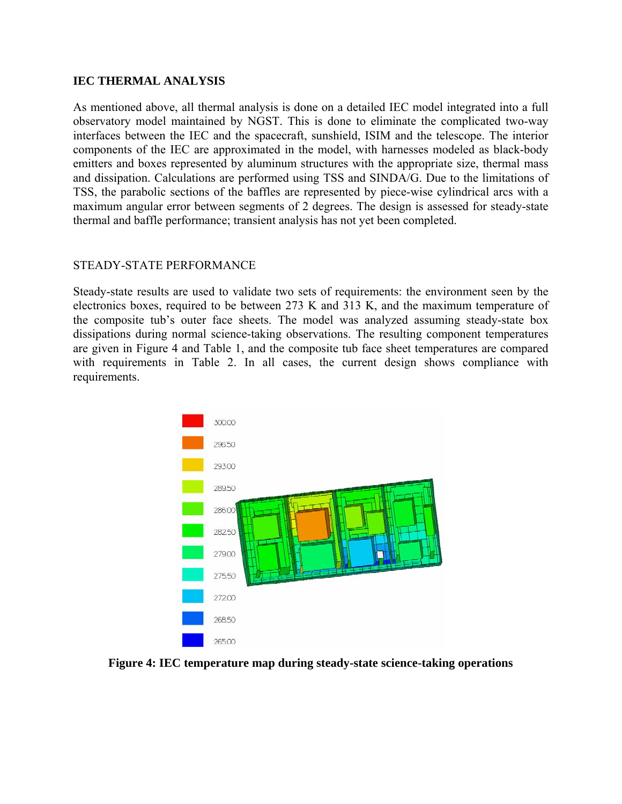#### **IEC THERMAL ANALYSIS**

As mentioned above, all thermal analysis is done on a detailed IEC model integrated into a full observatory model maintained by NGST. This is done to eliminate the complicated two-way interfaces between the IEC and the spacecraft, sunshield, ISIM and the telescope. The interior components of the IEC are approximated in the model, with harnesses modeled as black-body emitters and boxes represented by aluminum structures with the appropriate size, thermal mass and dissipation. Calculations are performed using TSS and SINDA/G. Due to the limitations of TSS, the parabolic sections of the baffles are represented by piece-wise cylindrical arcs with a maximum angular error between segments of 2 degrees. The design is assessed for steady-state thermal and baffle performance; transient analysis has not yet been completed.

#### STEADY-STATE PERFORMANCE

Steady-state results are used to validate two sets of requirements: the environment seen by the electronics boxes, required to be between 273 K and 313 K, and the maximum temperature of the composite tub's outer face sheets. The model was analyzed assuming steady-state box dissipations during normal science-taking observations. The resulting component temperatures are given in Figure 4 and Table 1, and the composite tub face sheet temperatures are compared with requirements in Table 2. In all cases, the current design shows compliance with requirements.



**Figure 4: IEC temperature map during steady-state science-taking operations**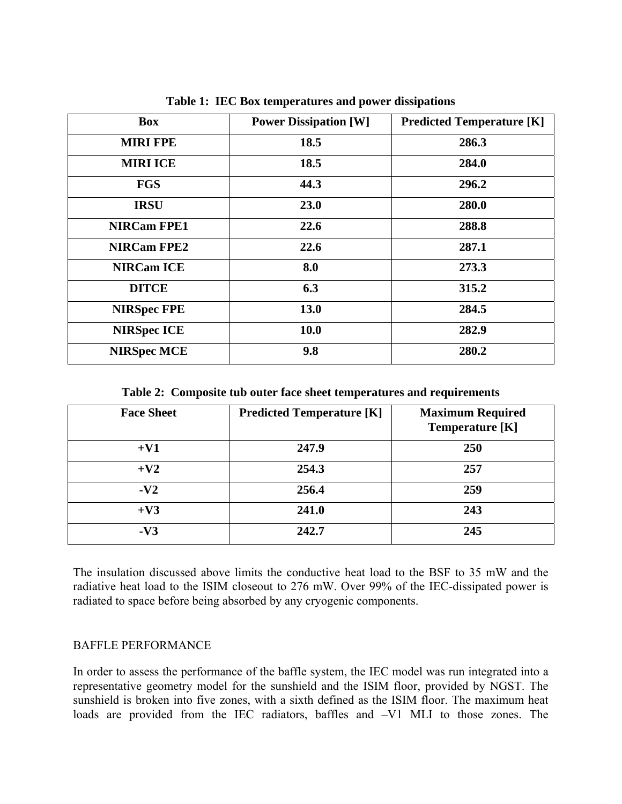| <b>Box</b>         | <b>Power Dissipation [W]</b> | <b>Predicted Temperature [K]</b> |
|--------------------|------------------------------|----------------------------------|
| <b>MIRI FPE</b>    | 18.5                         | 286.3                            |
| <b>MIRI ICE</b>    | 18.5                         | 284.0                            |
| <b>FGS</b>         | 44.3                         | 296.2                            |
| <b>IRSU</b>        | 23.0                         | 280.0                            |
| <b>NIRCam FPE1</b> | 22.6                         | 288.8                            |
| <b>NIRCam FPE2</b> | 22.6                         | 287.1                            |
| <b>NIRCam ICE</b>  | 8.0                          | 273.3                            |
| <b>DITCE</b>       | 6.3                          | 315.2                            |
| <b>NIRSpec FPE</b> | 13.0                         | 284.5                            |
| <b>NIRSpec ICE</b> | <b>10.0</b>                  | 282.9                            |
| <b>NIRSpec MCE</b> | 9.8                          | 280.2                            |

**Table 1: IEC Box temperatures and power dissipations** 

**Table 2: Composite tub outer face sheet temperatures and requirements** 

| <b>Face Sheet</b> | <b>Predicted Temperature [K]</b> | <b>Maximum Required</b><br><b>Temperature [K]</b> |
|-------------------|----------------------------------|---------------------------------------------------|
| $+V1$             | 247.9                            | 250                                               |
| $+V2$             | 254.3                            | 257                                               |
| $-V2$             | 256.4                            | 259                                               |
| $+V3$             | 241.0                            | 243                                               |
| $-V3$             | 242.7                            | 245                                               |

The insulation discussed above limits the conductive heat load to the BSF to 35 mW and the radiative heat load to the ISIM closeout to 276 mW. Over 99% of the IEC-dissipated power is radiated to space before being absorbed by any cryogenic components.

#### BAFFLE PERFORMANCE

In order to assess the performance of the baffle system, the IEC model was run integrated into a representative geometry model for the sunshield and the ISIM floor, provided by NGST. The sunshield is broken into five zones, with a sixth defined as the ISIM floor. The maximum heat loads are provided from the IEC radiators, baffles and –V1 MLI to those zones. The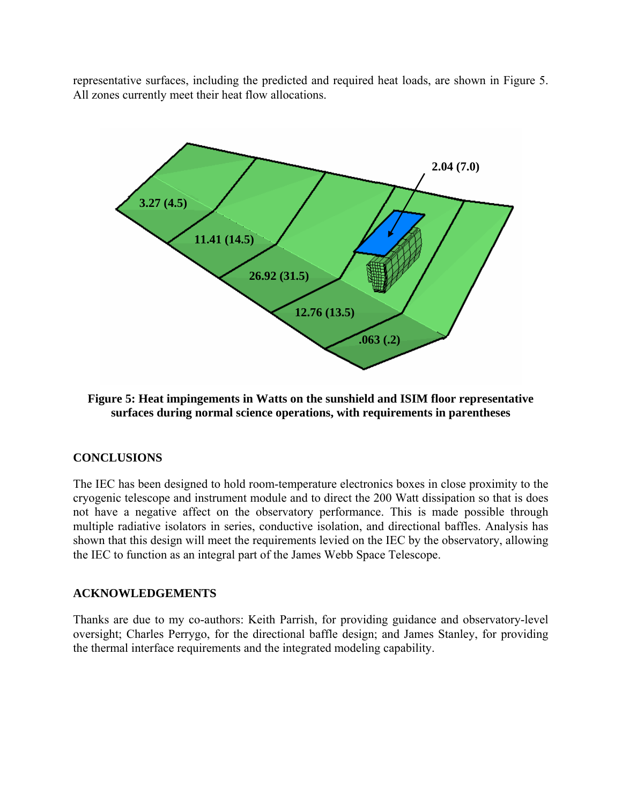representative surfaces, including the predicted and required heat loads, are shown in Figure 5. All zones currently meet their heat flow allocations.



## **Figure 5: Heat impingements in Watts on the sunshield and ISIM floor representative surfaces during normal science operations, with requirements in parentheses**

## **CONCLUSIONS**

The IEC has been designed to hold room-temperature electronics boxes in close proximity to the cryogenic telescope and instrument module and to direct the 200 Watt dissipation so that is does not have a negative affect on the observatory performance. This is made possible through multiple radiative isolators in series, conductive isolation, and directional baffles. Analysis has shown that this design will meet the requirements levied on the IEC by the observatory, allowing the IEC to function as an integral part of the James Webb Space Telescope.

#### **ACKNOWLEDGEMENTS**

Thanks are due to my co-authors: Keith Parrish, for providing guidance and observatory-level oversight; Charles Perrygo, for the directional baffle design; and James Stanley, for providing the thermal interface requirements and the integrated modeling capability.